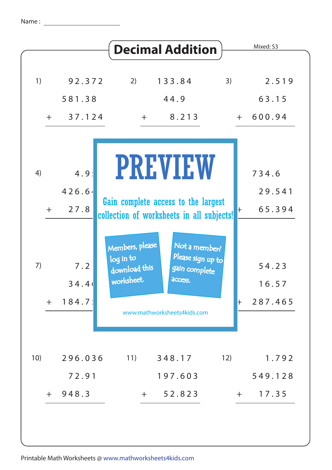|               |                            | <b>Decimal Addition</b>                                                                                                |                                             | Mixed: S3                     |
|---------------|----------------------------|------------------------------------------------------------------------------------------------------------------------|---------------------------------------------|-------------------------------|
| 1)<br>$+$ $-$ | 92.372<br>581.38<br>37.124 | 2)<br>133.84<br>44.9<br>8.213<br>$+$                                                                                   | 3)                                          | 2.519<br>63.15<br>$+ 600.94$  |
| 4)<br>$+$     | 4.9<br>426.64<br>27.8      | <b>PREVIEW</b><br>Gain complete access to the largest<br>collection of worksheets in all subjects!                     | $\vdash$                                    | 734.6<br>29.541<br>65.394     |
| 7)<br>$+$     | 7.2<br>34.4(<br>184.7!     | Members, please<br>log in to<br>download this<br>gain complete<br>worksheet.<br>access.<br>www.mathworksheets4kids.com | Not a member?<br>Please sign up to<br>$\pm$ | 54.23<br>16.57<br>287.465     |
| 10)<br>$+$    | 296.036<br>72.91<br>948.3  | 11)<br>348.17<br>197.603<br>52.823<br>$+$                                                                              | 12)                                         | 1.792<br>549.128<br>$+ 17.35$ |